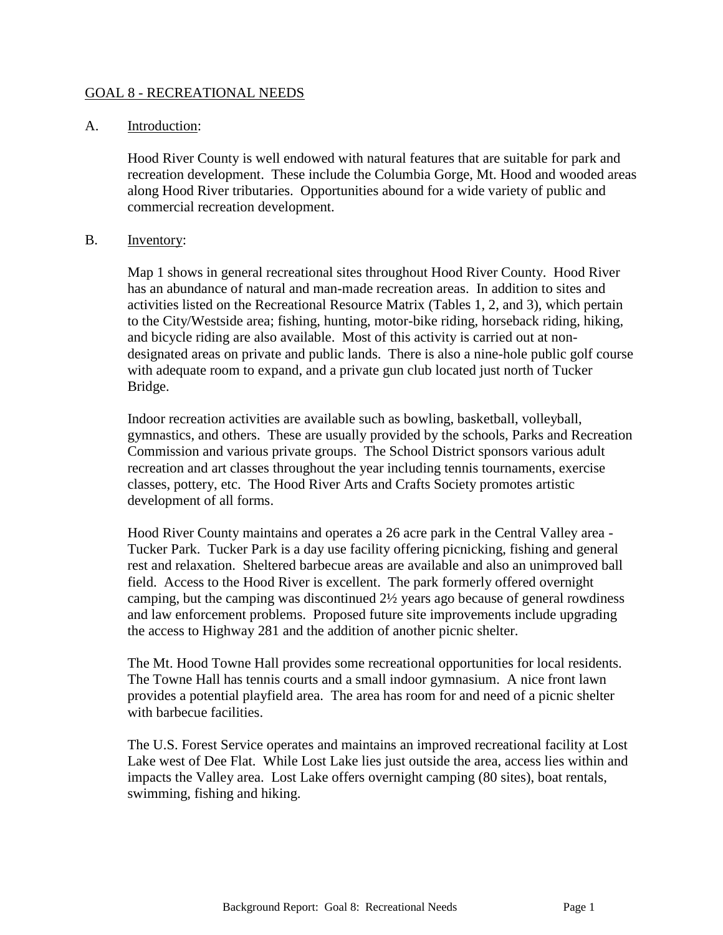#### GOAL 8 - RECREATIONAL NEEDS

#### A. Introduction:

Hood River County is well endowed with natural features that are suitable for park and recreation development. These include the Columbia Gorge, Mt. Hood and wooded areas along Hood River tributaries. Opportunities abound for a wide variety of public and commercial recreation development.

#### B. Inventory:

Map 1 shows in general recreational sites throughout Hood River County. Hood River has an abundance of natural and man-made recreation areas. In addition to sites and activities listed on the Recreational Resource Matrix (Tables 1, 2, and 3), which pertain to the City/Westside area; fishing, hunting, motor-bike riding, horseback riding, hiking, and bicycle riding are also available. Most of this activity is carried out at nondesignated areas on private and public lands. There is also a nine-hole public golf course with adequate room to expand, and a private gun club located just north of Tucker Bridge.

Indoor recreation activities are available such as bowling, basketball, volleyball, gymnastics, and others. These are usually provided by the schools, Parks and Recreation Commission and various private groups. The School District sponsors various adult recreation and art classes throughout the year including tennis tournaments, exercise classes, pottery, etc. The Hood River Arts and Crafts Society promotes artistic development of all forms.

Hood River County maintains and operates a 26 acre park in the Central Valley area - Tucker Park. Tucker Park is a day use facility offering picnicking, fishing and general rest and relaxation. Sheltered barbecue areas are available and also an unimproved ball field. Access to the Hood River is excellent. The park formerly offered overnight camping, but the camping was discontinued 2½ years ago because of general rowdiness and law enforcement problems. Proposed future site improvements include upgrading the access to Highway 281 and the addition of another picnic shelter.

The Mt. Hood Towne Hall provides some recreational opportunities for local residents. The Towne Hall has tennis courts and a small indoor gymnasium. A nice front lawn provides a potential playfield area. The area has room for and need of a picnic shelter with barbecue facilities.

The U.S. Forest Service operates and maintains an improved recreational facility at Lost Lake west of Dee Flat. While Lost Lake lies just outside the area, access lies within and impacts the Valley area. Lost Lake offers overnight camping (80 sites), boat rentals, swimming, fishing and hiking.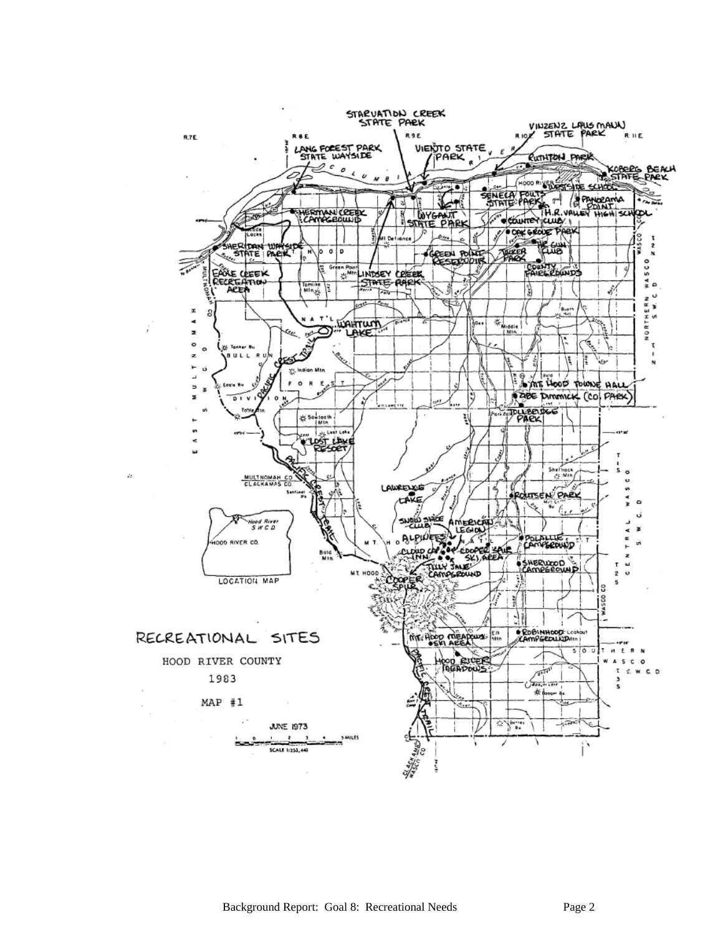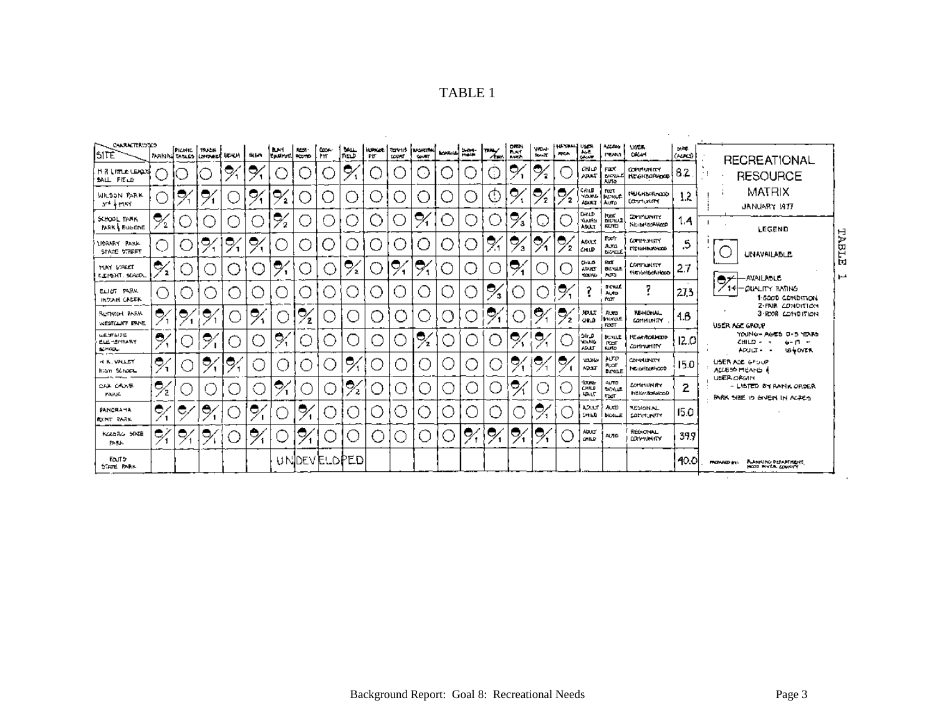|--|--|

| CHARACTERIOTEO<br>ISITE                       |           | PICHIC TRASH | MAKING TABLES COMMERCE BEACH |    | <b>SIGN</b> | <b>IN ST</b><br>Epsimiti Romo | <b>REST-</b> | <b>CODE:</b><br>. Frr | MALL<br> FIELD | PIT. | LOWN | <b>HOPAGE TEMPIN DOWNTON</b><br><b>COUNT</b> | <b>BOWNS</b>       |   | THEY.<br>∕∲met     | $0 + 2 + 1$<br><b>Bust</b><br><b>BACK</b> | <b>VIEW-</b><br><b>TOM-TO</b> | HARAH USA<br><b>ANCH</b> | $\frac{1}{2}$                               | $\sim$<br><b>PEAN</b>                     | USEA.<br><b>DRAH</b>                      | 大学<br>(AUCI) | <b>RECREATIONAL</b>                                                                                     |  |
|-----------------------------------------------|-----------|--------------|------------------------------|----|-------------|-------------------------------|--------------|-----------------------|----------------|------|------|----------------------------------------------|--------------------|---|--------------------|-------------------------------------------|-------------------------------|--------------------------|---------------------------------------------|-------------------------------------------|-------------------------------------------|--------------|---------------------------------------------------------------------------------------------------------|--|
| <b>HR IncLe LEADS</b><br><b>MALL FIELD</b>    |           |              |                              | 9  | 0           |                               |              |                       | Ç              |      |      | ٥                                            |                    |   | J.                 | 0,                                        | 9                             |                          | снио<br>АРАТ                                | FOOT<br><b>BICYALL</b><br><b>AVTO</b>     | conductor<br><b>КС ОНЪОРНОСО</b>          | 82           | <b>RESOURCE</b>                                                                                         |  |
| WILSON PARK<br>art keisy                      |           | ◓            | ●∕                           |    | ٥           | 0,                            |              |                       |                | in a |      | 8                                            |                    |   | ⊙                  | ∘                                         | 9                             | 0                        | ርሐነመ<br>YOUNG<br>ADULT                      | Fuet<br><b>bune #</b><br>Auto             | NEIGHboRnach<br><b>CONTIGRATION</b>       | 12           | MATRIX<br>JANUARY 1917                                                                                  |  |
| SCHOOL TARK<br>PARK & EGGENE                  | 2         |              |                              |    |             | ۹.<br>΄2                      |              |                       |                |      |      | ⇨                                            |                    |   |                    | 0<br>'3                                   |                               |                          | <b>LHILD</b><br>eitum<br>ANAT               | Ref<br>Bichoz<br>欧木                       | <b>CONFIDENTY</b><br><b>NETERRORHOOD</b>  | 1.4          | LEGEND                                                                                                  |  |
| LIBRARY PARK<br>STATE STREET                  |           |              | O,                           | ፆ  | е,          |                               |              | - 1                   | a.             |      |      | C                                            | $\left( \ \right)$ |   | ℀                  | ◓<br>э                                    | 0                             | 0                        | <b>ADAT</b><br><b>CHLD</b>                  | Forn<br>Auto<br><b>DOM:LE</b>             | <b>CONNUMITY</b><br><b>PICTOHELLONICO</b> | .5           | TABLE<br><b>UNAVAILABLE</b>                                                                             |  |
| MAY STREET<br>ELEMENT, SCRODL                 | ♦         |              |                              |    |             | c,                            |              |                       | $\frac{1}{2}$  |      | U    | ి                                            |                    |   |                    | $\ddot{\mathcal{D}}_1$                    |                               |                          | <b>ChiLO</b><br><b>ADOLT</b><br><b>KAIN</b> | <b>Roof</b><br>日内以上<br>A30                | <b>CONTINUESTY</b><br><b>HEIGHGERHOOD</b> | 27           | $\mathbf{H}$<br>اعوا<br>-AVAILADLE                                                                      |  |
| ELIOT PARK<br><b>INCOME CADER</b>             |           |              |                              |    |             |                               |              |                       |                |      |      | L.                                           |                    |   | Ο,<br>$\mathbf{3}$ |                                           |                               | 0                        |                                             | <b>BOALE</b><br>Auto<br><b>POT</b>        | 7                                         | 27.3         | 1⊀∣− OGALITY RATING<br>1-6000 CONDITION                                                                 |  |
| <b>BUTHOH PARK</b><br>WESTCLIFF DANE          | e         | e,           | е                            |    | 9.          |                               | ۰,           |                       |                | ⊂    |      |                                              |                    |   | O,                 |                                           | ◓                             | ۰,<br>$\mathbf{z}$       | <b>ADUX</b><br>CHLD.                        | <b>AUGUS</b><br>huxa£<br><b>RXIT</b>      | <b>REGIONAL</b><br><b>COMMUNITY</b>       | 4.6          | 2-FRIR CONDITION<br>3 ROOR COMPITION<br>USER ASE GROUP                                                  |  |
| WESTER OF<br><b>ELECTRITICAL</b> Y<br>SCHOOL- | O,        |              | 0                            |    |             | 0,                            |              |                       |                |      |      | Ξ.                                           |                    |   |                    | Ç                                         | U,                            |                          | م الن<br><b>YOUNG</b><br>تعمد               | <b>MAGE</b><br><b>POOT</b><br><b>Auto</b> | ME an total cop<br><b>COMMUNITY</b>       | 12.0         | YOUNG - AGES D-S YEARS<br><b>CHILD -</b><br>$6 - 17 - 17$<br>$\mathbf{u}$<br><b>184 OVER</b><br>APJLT - |  |
| <b>K. WHALET</b><br>hian School               | Θ,<br>∕ ז |              | ್ರ                           | c, |             |                               |              |                       | 0,             |      |      |                                              |                    |   |                    | e,                                        | U,                            | Э,                       | www<br><b>ADOLF</b>                         | AUTO<br>PUOT<br><b>BICKGLE</b>            | <b>COMMUNITY</b><br>houghborhood.         | 15.0         | USER AGE GROUP<br>ACCESS MEANS A                                                                        |  |
| CAA CANE<br><b>PARK</b>                       | ౚఀ<br>72  |              |                              |    | 61          | ◓                             |              | - 1                   | $\frac{1}{2}$  | ۰.   |      |                                              |                    |   |                    | Ο,                                        |                               |                          | 1006<br>CHILD<br><b>ADULT</b>               | <b>AUTO</b><br>5004<br>FooT               | Contrumity<br>NEIGHEANN 20D               | 2            | UNER ORGANI<br>- LISTED BY RANK ORDER<br><b>PARK SIZE IS GIVEN IN ACPES</b>                             |  |
| PANCRATIA<br><b>DONT RABS.</b>                | Ō,        | e,           | e,                           |    | c           |                               | c            |                       |                |      |      | Ι.                                           |                    |   | ×,                 |                                           | ●                             |                          | ADIAT<br><b>CHILD</b>                       | AUTO<br><b>NON-E</b>                      | <b>RESION AL</b><br>COMMUNITY             | 15.0         |                                                                                                         |  |
| KORGRO SINTE<br>PARK.                         | ¢,        | 0            | 0,                           |    | 0,          |                               | J            |                       |                |      |      | ( ⊺                                          |                    | е | ∾                  | Ç                                         | U                             |                          | <b>Abud</b><br><b>CHILD</b>                 | <b>AUTO</b>                               | REGIONAL<br><b>LOY'N NITY</b>             | 399          |                                                                                                         |  |
| Fout 5<br><b>STATE PARK</b>                   |           |              |                              |    |             |                               |              |                       | UNDEVELOPED    |      |      |                                              |                    |   |                    |                                           |                               |                          |                                             |                                           |                                           | 40.0         | A ANNING DELAMENTE.<br>Hood myer equivy<br><b>FROMAD INC.</b>                                           |  |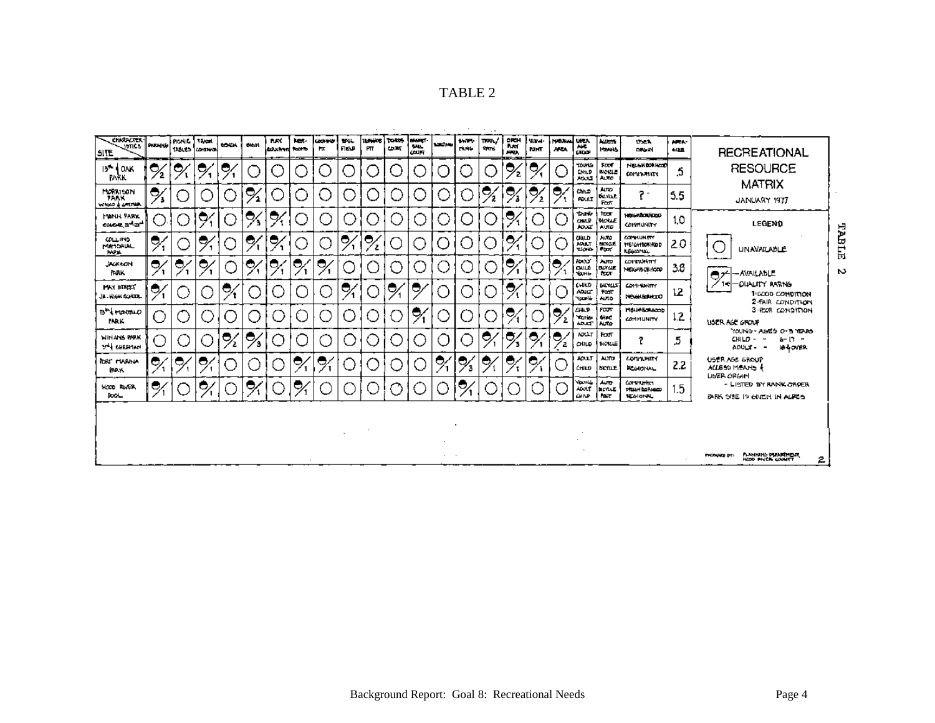| <b>CHARPOTER-T</b><br>sant's<br>SITE             | <b>PARKING</b>        | <b>NONE</b><br>TAN LO | Titud<br><b>CONTRACT</b> | <b>MONA</b> | <b>CALLES</b>           | <b>DAY</b><br>leasand team | per. | ladretr<br>H <sub>K</sub> | <b>MIL</b><br>FIELD | <b>WALKS</b><br>PT. | l roms<br><b>COME</b> | MARCI-<br><b>BALL</b><br>COUFF | 120000          | <b>BART</b><br><b>CANG</b> | $\cdot$ $\cdot$<br>TRAL/<br>PATH. | ORCH<br><b>Build</b><br><b>AVEA</b> | <b>Nigel-</b><br><b>RIMT</b> | <b>NATION</b><br><b>AREA</b> | <b>UKLA</b><br>ano.<br>Graz                  | l Autom<br><b>Portis</b>                    | <b>Dick</b><br><b>OK IN</b>                                          | <b>AREA</b><br>有限量 | <b>RECREATIONAL</b>                                                                 |                          |                                                        |
|--------------------------------------------------|-----------------------|-----------------------|--------------------------|-------------|-------------------------|----------------------------|------|---------------------------|---------------------|---------------------|-----------------------|--------------------------------|-----------------|----------------------------|-----------------------------------|-------------------------------------|------------------------------|------------------------------|----------------------------------------------|---------------------------------------------|----------------------------------------------------------------------|--------------------|-------------------------------------------------------------------------------------|--------------------------|--------------------------------------------------------|
| 13* 4 DAK<br><b>PARK</b>                         | $\frac{1}{2}$         | c                     | P,                       | Q           |                         |                            |      | $\mathcal{L}$             |                     |                     |                       |                                |                 |                            |                                   | 0<br>2                              | Q                            |                              | <b>TOUNG</b><br><b>CHILD</b><br>Abull        | Foot:<br><b>BIOKLE</b><br>Auto              | NELSKOP ROD<br><b>COMPARITY</b>                                      | 5.                 | <b>RESOURCE</b><br><b>MATRIX</b>                                                    |                          |                                                        |
| MORRISON<br><b>TANK</b><br>WISCO & UNITED        | ę,                    |                       |                          |             | ◡                       |                            |      | $\mathbf{L}$              |                     |                     |                       |                                |                 |                            | 0                                 | U,                                  | ◡                            | Ο,                           | CHILD<br>POULD                               | AUTO.<br><b>BLYLL</b><br>Forty              | $\overline{r}$<br>5.5                                                |                    | JANUARY 1977                                                                        |                          |                                                        |
| <b>HANN PARK</b><br>COLOR D <sup>el</sup> B      |                       |                       | ∾                        | m           | Q<br>ъ                  | e,                         |      | 88                        |                     |                     |                       |                                |                 |                            |                                   | Q                                   |                              | ι.                           | <b>TOUNG</b><br><b>CHILD</b><br><b>ADJET</b> | <b>RXX</b><br><b>MOULE</b><br>AUTO          | <b>NEIGHBOURDED</b><br>CONTINUES                                     | 1,0                | <b>LEGEND</b>                                                                       |                          |                                                        |
| <b>COLLINS</b><br><b>ME10RIAL</b><br><b>BAPT</b> | ℀                     |                       | e                        |             | o                       | 9                          |      | - 1                       | Ō,                  | 0                   |                       |                                |                 | $\sim$                     | . .                               | e                                   |                              |                              | CHILD<br><b>ABLE</b>                         | AUTO<br>Ferral<br>lear                      | <b>CONTRIBUTY</b><br><b><i>INETCHINORINDO</i></b><br><b>LESMINAL</b> | 2.0                | TABLE<br><b>UNAVAILABLE</b>                                                         |                          |                                                        |
| <b>JACK SON</b><br><b>PERK</b>                   | $\tilde{\mathcal{A}}$ | U,                    | 0,                       |             | e                       | 0                          | U    | O,                        |                     |                     | - 1                   |                                |                 |                            |                                   | U                                   |                              | O,                           | ARXX<br><b>CILLE</b><br>Young                | <b>AUTO</b><br><b>DOMAIN</b><br><b>FOOT</b> | <b>CONTRUNITY</b><br><b>NEIGHBORKCOP</b>                             | 3.8                |                                                                                     | N<br><b>■プーAVAILAbLE</b> |                                                        |
| <b>MAY STREET</b><br>JB . WHEN SOMETIME          | 0,                    |                       |                          | e           |                         |                            |      |                           | ς.                  |                     | U                     | Ο,                             |                 |                            |                                   | 0                                   |                              |                              | CHILD<br><b>Abuz</b><br>Yourla               | <b>BICYCLE</b><br>Post<br><b>ALTO</b>       | <b>COMPROMITY</b><br>12<br>NEGREGIATO                                |                    |                                                                                     |                          | OUALITY RATING<br>1:6000 CONDITION<br>2-FAIR CONDITION |
| B <sup>*</sup> IroteLO<br><b>FARK</b>            |                       |                       |                          |             | - 1                     |                            |      |                           |                     |                     |                       | 2                              |                 | Ξ.                         |                                   | 0                                   |                              | U,                           | ZHILD.<br><b>Turk</b><br><b>ADAT</b>         | FOOT<br><b>BIKE</b><br>  Ame                | <b>MBUHBOULDD</b><br><b>COMMUNITY</b>                                | 12                 | 3-ROOR COMPITION<br>USER AGE GROUP                                                  |                          |                                                        |
| <b>WINANS RARK</b><br>34 SHERMAN                 |                       |                       |                          | ٥           | $\overline{\mathbf{Q}}$ |                            |      | - 1                       |                     |                     | r i                   |                                |                 |                            | O,                                | U,                                  | e                            | 0                            | <b>ADLLT</b><br>CHILD                        | FOUT<br><b>BICYCLE</b>                      | 2                                                                    | .5                 | YOUNG - AGED OF BITERRO<br>CHILD -<br>6-17 -<br>$\cdot$<br>ADULT-<br><b>1840YER</b> |                          |                                                        |
| <b>REST FUSANA</b><br><b>MAK</b>                 | 9                     | 0                     | 0                        |             |                         |                            | U,   | Q                         |                     |                     |                       |                                | 9               | J,                         | ಲ                                 | U                                   | Ξ.                           |                              | ADLI<br>ረ∺⊔⊔o                                | ALTO<br><b>DICTULE</b>                      | <b>LONWINGY</b><br><b>REGIONAL</b>                                   | 2.2                | USER AGE GROUP<br>ALLESS MEANS<br><b>USER ORGAN</b>                                 |                          |                                                        |
| HOOD RIVER<br><b>Rock_</b>                       | 9                     |                       | е                        |             | О,                      |                            | 0,   |                           |                     |                     |                       |                                |                 | Э                          |                                   |                                     |                              |                              | YOUNG<br><b>ADOUT</b><br><b>GHIVE</b>        | Auto<br><b>BETLE</b><br><b>POIT</b>         | <b>CONSTANT</b><br>THEIR BORNOOD<br><b>NEW JONAL</b>                 | $.5\,$             | - LISTED BY RANK ORDER<br>PARK SIZE IS GUILDI IN ALPES                              |                          |                                                        |
|                                                  |                       |                       |                          |             |                         |                            |      |                           |                     |                     |                       |                                |                 |                            |                                   |                                     |                              |                              |                                              |                                             |                                                                      |                    |                                                                                     |                          |                                                        |
|                                                  |                       |                       |                          |             |                         |                            |      |                           |                     |                     |                       |                                |                 |                            |                                   |                                     |                              |                              |                                              |                                             |                                                                      |                    |                                                                                     |                          |                                                        |
|                                                  |                       |                       |                          |             |                         |                            |      |                           |                     |                     |                       |                                | $\cdot$ $\cdot$ |                            |                                   |                                     |                              |                              |                                              |                                             |                                                                      |                    | A MHUNG PUMPING M<br><b>PHOTAPHOD DV:</b><br>르                                      |                          |                                                        |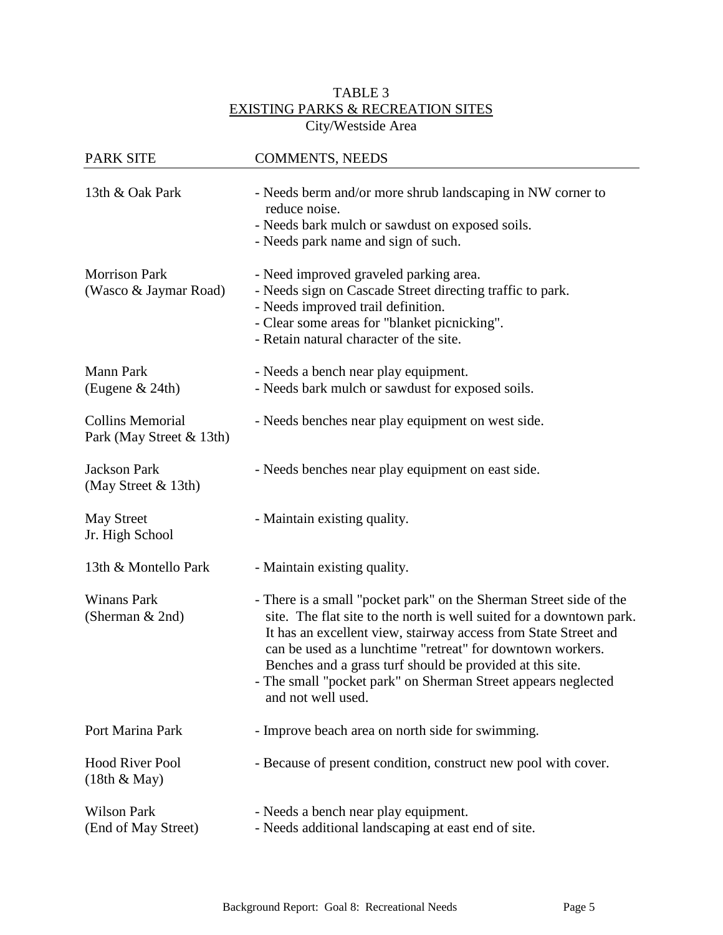## TABLE 3 EXISTING PARKS & RECREATION SITES City/Westside Area

| <b>PARK SITE</b>                                    | <b>COMMENTS, NEEDS</b>                                                                                                                                                                                                                                                                                                                                                                                                          |
|-----------------------------------------------------|---------------------------------------------------------------------------------------------------------------------------------------------------------------------------------------------------------------------------------------------------------------------------------------------------------------------------------------------------------------------------------------------------------------------------------|
| 13th & Oak Park                                     | - Needs berm and/or more shrub landscaping in NW corner to<br>reduce noise.<br>- Needs bark mulch or sawdust on exposed soils.                                                                                                                                                                                                                                                                                                  |
|                                                     | - Needs park name and sign of such.                                                                                                                                                                                                                                                                                                                                                                                             |
| <b>Morrison Park</b><br>(Wasco & Jaymar Road)       | - Need improved graveled parking area.<br>- Needs sign on Cascade Street directing traffic to park.<br>- Needs improved trail definition.<br>- Clear some areas for "blanket picnicking".<br>- Retain natural character of the site.                                                                                                                                                                                            |
| <b>Mann Park</b><br>(Eugene & 24th)                 | - Needs a bench near play equipment.<br>- Needs bark mulch or sawdust for exposed soils.                                                                                                                                                                                                                                                                                                                                        |
|                                                     |                                                                                                                                                                                                                                                                                                                                                                                                                                 |
| <b>Collins Memorial</b><br>Park (May Street & 13th) | - Needs benches near play equipment on west side.                                                                                                                                                                                                                                                                                                                                                                               |
| <b>Jackson Park</b><br>(May Street & 13th)          | - Needs benches near play equipment on east side.                                                                                                                                                                                                                                                                                                                                                                               |
| <b>May Street</b><br>Jr. High School                | - Maintain existing quality.                                                                                                                                                                                                                                                                                                                                                                                                    |
| 13th & Montello Park                                | - Maintain existing quality.                                                                                                                                                                                                                                                                                                                                                                                                    |
| <b>Winans Park</b><br>(Sherman & 2nd)               | - There is a small "pocket park" on the Sherman Street side of the<br>site. The flat site to the north is well suited for a downtown park.<br>It has an excellent view, stairway access from State Street and<br>can be used as a lunchtime "retreat" for downtown workers.<br>Benches and a grass turf should be provided at this site.<br>- The small "pocket park" on Sherman Street appears neglected<br>and not well used. |
| Port Marina Park                                    | - Improve beach area on north side for swimming.                                                                                                                                                                                                                                                                                                                                                                                |
| <b>Hood River Pool</b><br>$(18th \& May)$           | - Because of present condition, construct new pool with cover.                                                                                                                                                                                                                                                                                                                                                                  |
| <b>Wilson Park</b><br>(End of May Street)           | - Needs a bench near play equipment.<br>- Needs additional landscaping at east end of site.                                                                                                                                                                                                                                                                                                                                     |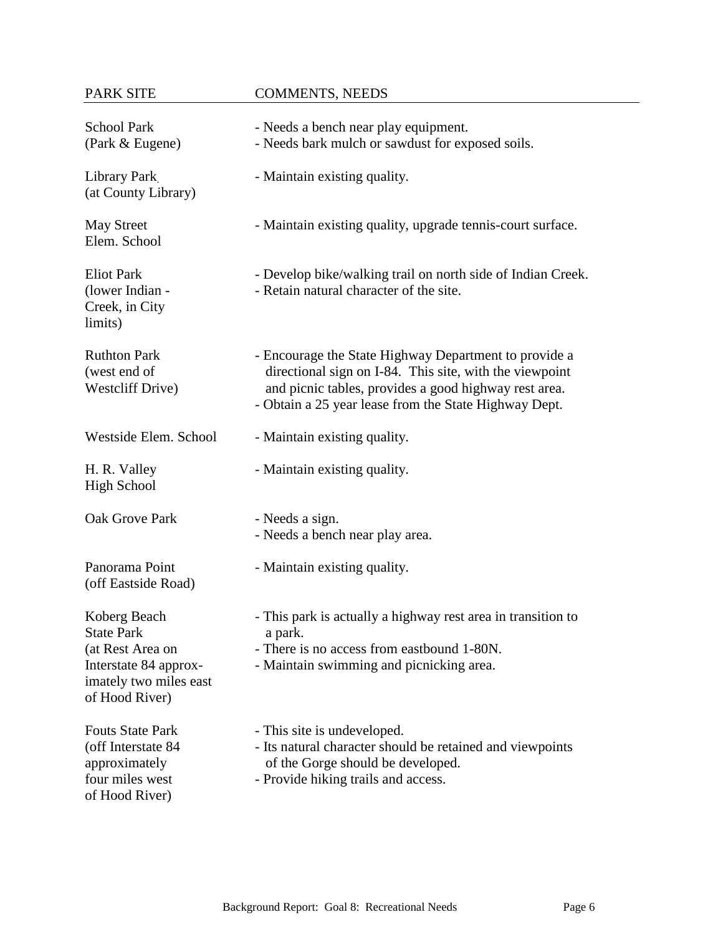# PARK SITE COMMENTS, NEEDS

| <b>School Park</b><br>(Park & Eugene)                                                                                      | - Needs a bench near play equipment.<br>- Needs bark mulch or sawdust for exposed soils.                                                                                                                                           |
|----------------------------------------------------------------------------------------------------------------------------|------------------------------------------------------------------------------------------------------------------------------------------------------------------------------------------------------------------------------------|
| Library Park<br>(at County Library)                                                                                        | - Maintain existing quality.                                                                                                                                                                                                       |
| <b>May Street</b><br>Elem. School                                                                                          | - Maintain existing quality, upgrade tennis-court surface.                                                                                                                                                                         |
| <b>Eliot Park</b><br>(lower Indian -<br>Creek, in City<br>limits)                                                          | - Develop bike/walking trail on north side of Indian Creek.<br>- Retain natural character of the site.                                                                                                                             |
| <b>Ruthton Park</b><br>(west end of<br><b>Westcliff Drive)</b>                                                             | - Encourage the State Highway Department to provide a<br>directional sign on I-84. This site, with the viewpoint<br>and picnic tables, provides a good highway rest area.<br>- Obtain a 25 year lease from the State Highway Dept. |
| Westside Elem. School                                                                                                      | - Maintain existing quality.                                                                                                                                                                                                       |
| H. R. Valley<br><b>High School</b>                                                                                         | - Maintain existing quality.                                                                                                                                                                                                       |
| Oak Grove Park                                                                                                             | - Needs a sign.<br>- Needs a bench near play area.                                                                                                                                                                                 |
| Panorama Point<br>(off Eastside Road)                                                                                      | - Maintain existing quality.                                                                                                                                                                                                       |
| Koberg Beach<br><b>State Park</b><br>(at Rest Area on<br>Interstate 84 approx-<br>imately two miles east<br>of Hood River) | - This park is actually a highway rest area in transition to<br>a park.<br>- There is no access from eastbound 1-80N.<br>- Maintain swimming and picnicking area.                                                                  |
| <b>Fouts State Park</b><br>(off Interstate 84<br>approximately<br>four miles west<br>of Hood River)                        | - This site is undeveloped.<br>- Its natural character should be retained and viewpoints<br>of the Gorge should be developed.<br>- Provide hiking trails and access.                                                               |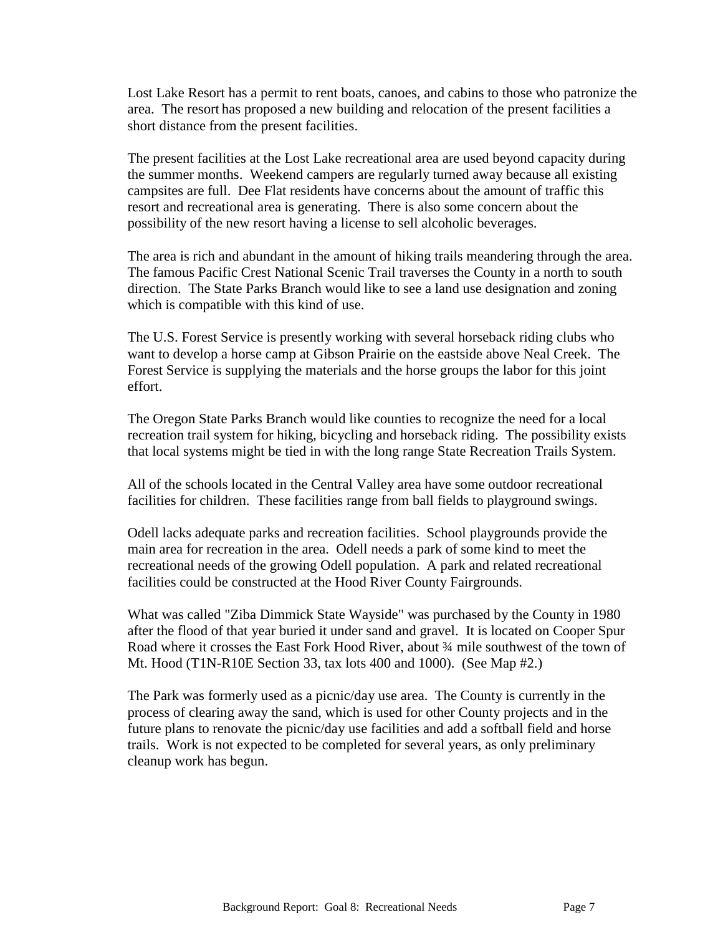Lost Lake Resort has a permit to rent boats, canoes, and cabins to those who patronize the area. The resort has proposed a new building and relocation of the present facilities a short distance from the present facilities.

The present facilities at the Lost Lake recreational area are used beyond capacity during the summer months. Weekend campers are regularly turned away because all existing campsites are full. Dee Flat residents have concerns about the amount of traffic this resort and recreational area is generating. There is also some concern about the possibility of the new resort having a license to sell alcoholic beverages.

The area is rich and abundant in the amount of hiking trails meandering through the area. The famous Pacific Crest National Scenic Trail traverses the County in a north to south direction. The State Parks Branch would like to see a land use designation and zoning which is compatible with this kind of use.

The U.S. Forest Service is presently working with several horseback riding clubs who want to develop a horse camp at Gibson Prairie on the eastside above Neal Creek. The Forest Service is supplying the materials and the horse groups the labor for this joint effort.

The Oregon State Parks Branch would like counties to recognize the need for a local recreation trail system for hiking, bicycling and horseback riding. The possibility exists that local systems might be tied in with the long range State Recreation Trails System.

All of the schools located in the Central Valley area have some outdoor recreational facilities for children. These facilities range from ball fields to playground swings.

Odell lacks adequate parks and recreation facilities. School playgrounds provide the main area for recreation in the area. Odell needs a park of some kind to meet the recreational needs of the growing Odell population. A park and related recreational facilities could be constructed at the Hood River County Fairgrounds.

What was called "Ziba Dimmick State Wayside" was purchased by the County in 1980 after the flood of that year buried it under sand and gravel. It is located on Cooper Spur Road where it crosses the East Fork Hood River, about 34 mile southwest of the town of Mt. Hood (T1N-R10E Section 33, tax lots 400 and 1000). (See Map #2.)

The Park was formerly used as a picnic/day use area. The County is currently in the process of clearing away the sand, which is used for other County projects and in the future plans to renovate the picnic/day use facilities and add a softball field and horse trails. Work is not expected to be completed for several years, as only preliminary cleanup work has begun.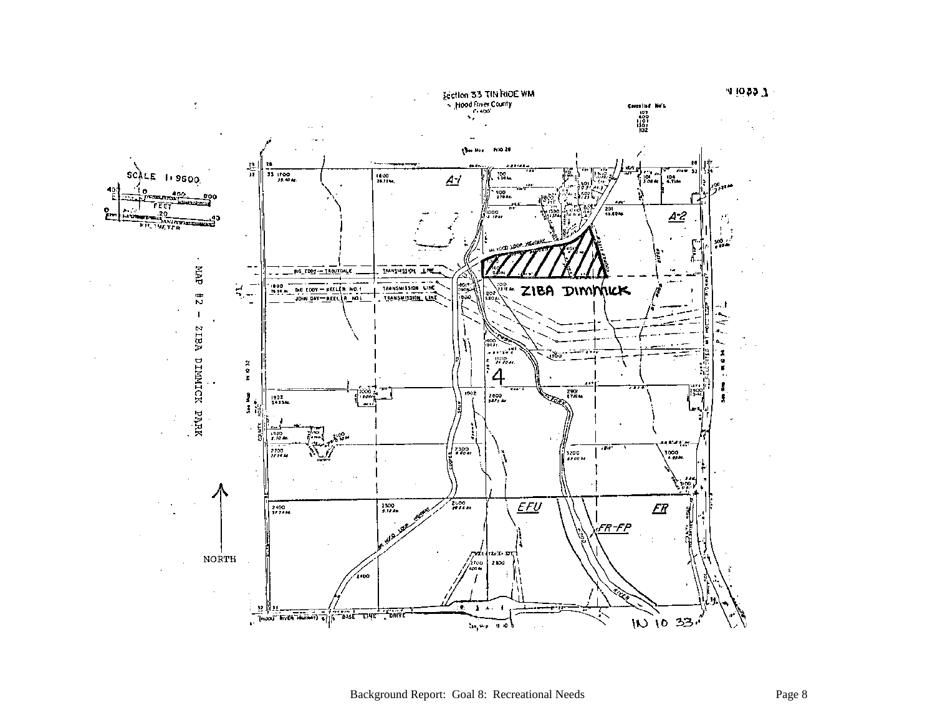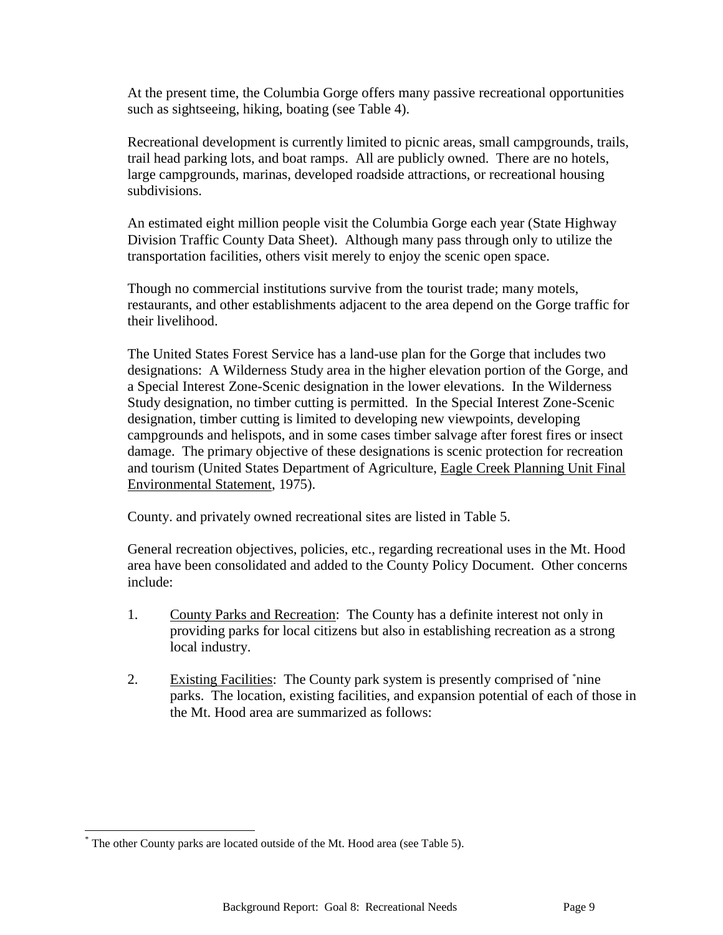At the present time, the Columbia Gorge offers many passive recreational opportunities such as sightseeing, hiking, boating (see Table 4).

Recreational development is currently limited to picnic areas, small campgrounds, trails, trail head parking lots, and boat ramps. All are publicly owned. There are no hotels, large campgrounds, marinas, developed roadside attractions, or recreational housing subdivisions.

An estimated eight million people visit the Columbia Gorge each year (State Highway Division Traffic County Data Sheet). Although many pass through only to utilize the transportation facilities, others visit merely to enjoy the scenic open space.

Though no commercial institutions survive from the tourist trade; many motels, restaurants, and other establishments adjacent to the area depend on the Gorge traffic for their livelihood.

The United States Forest Service has a land-use plan for the Gorge that includes two designations: A Wilderness Study area in the higher elevation portion of the Gorge, and a Special Interest Zone-Scenic designation in the lower elevations. In the Wilderness Study designation, no timber cutting is permitted. In the Special Interest Zone-Scenic designation, timber cutting is limited to developing new viewpoints, developing campgrounds and helispots, and in some cases timber salvage after forest fires or insect damage. The primary objective of these designations is scenic protection for recreation and tourism (United States Department of Agriculture, Eagle Creek Planning Unit Final Environmental Statement, 1975).

County. and privately owned recreational sites are listed in Table 5.

General recreation objectives, policies, etc., regarding recreational uses in the Mt. Hood area have been consolidated and added to the County Policy Document. Other concerns include:

- 1. County Parks and Recreation: The County has a definite interest not only in providing parks for local citizens but also in establishing recreation as a strong local industry.
- 2. Existing Facilities: The County park system is presently comprised of \*nine parks. The location, existing facilities, and expansion potential of each of those in the Mt. Hood area are summarized as follows:

l

The other County parks are located outside of the Mt. Hood area (see Table 5).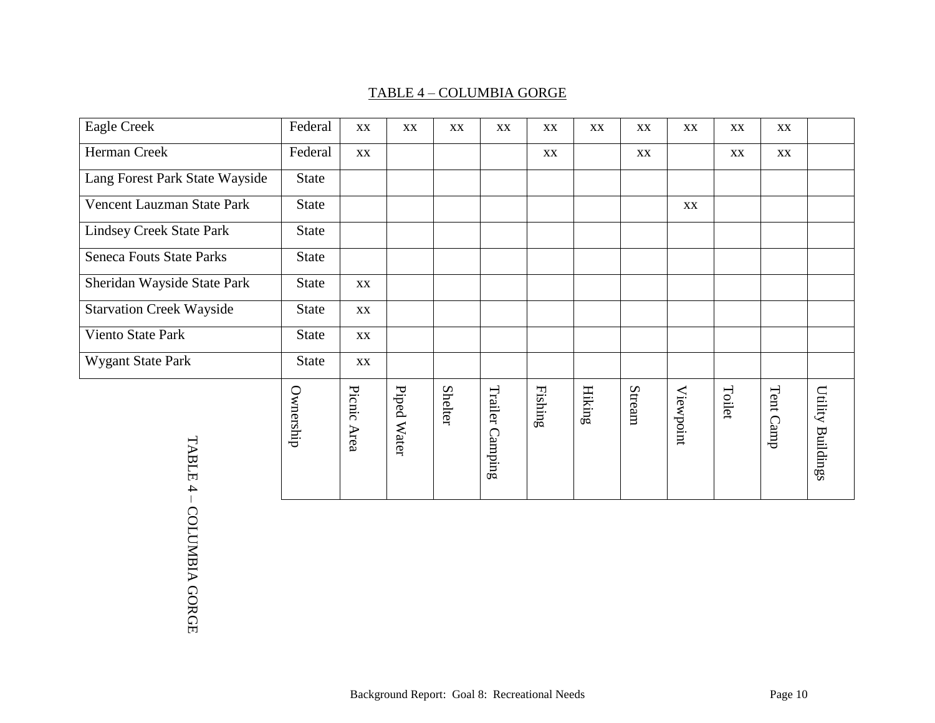# TABLE 4 – COLUMBIA GORGE

| <b>Eagle Creek</b>              | Federal      | XX             | XX          | XX             | XX              | XX               | XX                      | XX     | XX        | XX     | XX        |                   |
|---------------------------------|--------------|----------------|-------------|----------------|-----------------|------------------|-------------------------|--------|-----------|--------|-----------|-------------------|
| Herman Creek                    | Federal      | XX             |             |                |                 | XX               |                         | XX     |           | XX     | XX        |                   |
| Lang Forest Park State Wayside  | State        |                |             |                |                 |                  |                         |        |           |        |           |                   |
| Vencent Lauzman State Park      | <b>State</b> |                |             |                |                 |                  |                         |        | XX        |        |           |                   |
| <b>Lindsey Creek State Park</b> | <b>State</b> |                |             |                |                 |                  |                         |        |           |        |           |                   |
| <b>Seneca Fouts State Parks</b> | <b>State</b> |                |             |                |                 |                  |                         |        |           |        |           |                   |
| Sheridan Wayside State Park     | <b>State</b> | XX             |             |                |                 |                  |                         |        |           |        |           |                   |
| <b>Starvation Creek Wayside</b> | <b>State</b> | XX             |             |                |                 |                  |                         |        |           |        |           |                   |
| Viento State Park               | <b>State</b> | XX             |             |                |                 |                  |                         |        |           |        |           |                   |
| Wygant State Park               | <b>State</b> | XX             |             |                |                 |                  |                         |        |           |        |           |                   |
| TABLE<br>4                      | Ownership    | Picnic<br>Area | Piped Water | <b>Shelter</b> | Trailer Camping | ${\bf Fiskning}$ | $\operatorname{Hiking}$ | Stream | Viewpoint | Toilet | Tent Camp | Utility Buildings |

– COLUMBIA GORGE COLUMBIA GORGE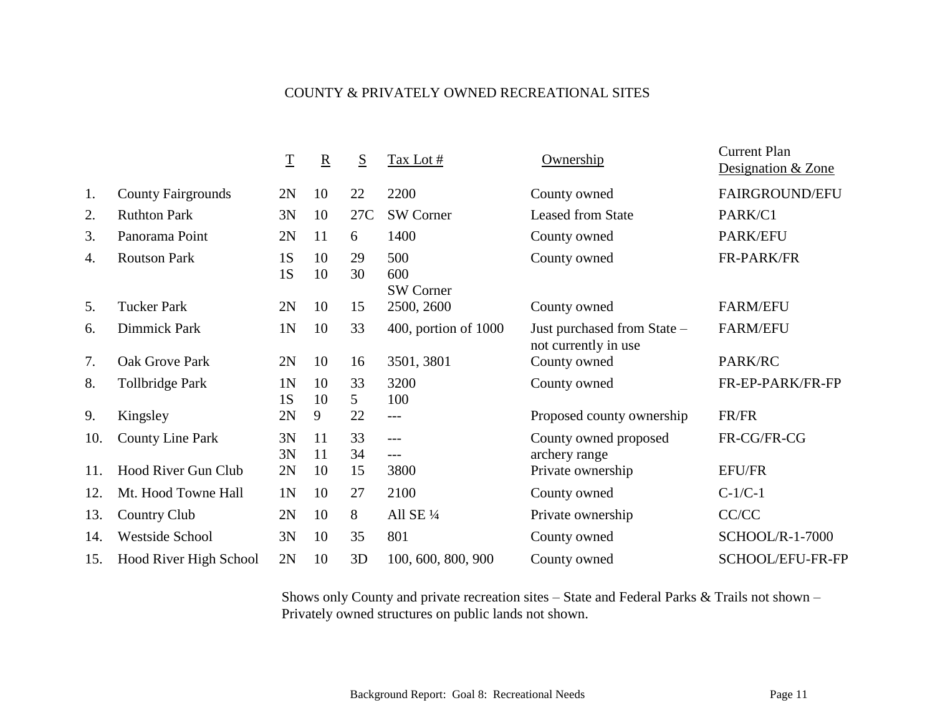# COUNTY & PRIVATELY OWNED RECREATIONAL SITES

|     |                           | $\overline{\mathrm{T}}$ | $\mathbf R$ | S                     | Tax Lot #                      | Ownership                                           | <b>Current Plan</b><br>Designation & Zone |
|-----|---------------------------|-------------------------|-------------|-----------------------|--------------------------------|-----------------------------------------------------|-------------------------------------------|
| 1.  | <b>County Fairgrounds</b> | 2N                      | 10          | 22                    | 2200                           | County owned                                        | FAIRGROUND/EFU                            |
| 2.  | <b>Ruthton Park</b>       | 3N                      | 10          | 27C                   | <b>SW Corner</b>               | <b>Leased from State</b>                            | PARK/C1                                   |
| 3.  | Panorama Point            | 2N                      | 11          | 6                     | 1400                           | County owned                                        | PARK/EFU                                  |
| 4.  | <b>Routson Park</b>       | 1S<br>1S                | 10<br>10    | 29<br>30              | 500<br>600<br><b>SW Corner</b> | County owned                                        | FR-PARK/FR                                |
| 5.  | <b>Tucker Park</b>        | 2N                      | 10          | 15                    | 2500, 2600                     | County owned                                        | <b>FARM/EFU</b>                           |
| 6.  | Dimmick Park              | 1N                      | 10          | 33                    | $400$ , portion of $1000$      | Just purchased from State -<br>not currently in use | <b>FARM/EFU</b>                           |
| 7.  | Oak Grove Park            | 2N                      | 10          | 16                    | 3501, 3801                     | County owned                                        | PARK/RC                                   |
| 8.  | <b>Tollbridge Park</b>    | 1 <sub>N</sub><br>1S    | 10<br>10    | 33<br>$5\overline{)}$ | 3200<br>100                    | County owned                                        | FR-EP-PARK/FR-FP                          |
| 9.  | Kingsley                  | 2N                      | 9           | 22                    | $---$                          | Proposed county ownership                           | FR/FR                                     |
| 10. | <b>County Line Park</b>   | 3N<br>3N                | 11<br>11    | 33<br>34              | ---<br>$---$                   | County owned proposed<br>archery range              | FR-CG/FR-CG                               |
| 11. | Hood River Gun Club       | 2N                      | 10          | 15                    | 3800                           | Private ownership                                   | <b>EFU/FR</b>                             |
| 12. | Mt. Hood Towne Hall       | 1 <sub>N</sub>          | 10          | 27                    | 2100                           | County owned                                        | $C-1/C-1$                                 |
| 13. | <b>Country Club</b>       | 2N                      | 10          | 8                     | All SE 1/4                     | Private ownership                                   | CC/CC                                     |
| 14. | <b>Westside School</b>    | 3N                      | 10          | 35                    | 801                            | County owned                                        | <b>SCHOOL/R-1-7000</b>                    |
| 15. | Hood River High School    | 2N                      | 10          | 3D                    | 100, 600, 800, 900             | County owned                                        | SCHOOL/EFU-FR-FP                          |

Shows only County and private recreation sites – State and Federal Parks & Trails not shown – Privately owned structures on public lands not shown.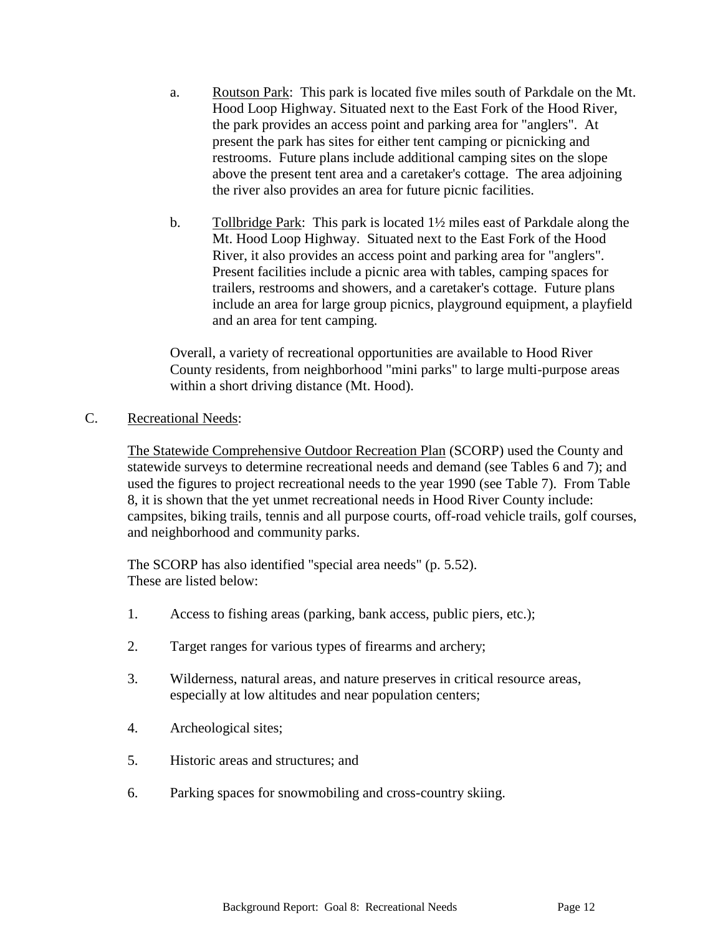- a. Routson Park: This park is located five miles south of Parkdale on the Mt. Hood Loop Highway. Situated next to the East Fork of the Hood River, the park provides an access point and parking area for "anglers". At present the park has sites for either tent camping or picnicking and restrooms. Future plans include additional camping sites on the slope above the present tent area and a caretaker's cottage. The area adjoining the river also provides an area for future picnic facilities.
- b. Tollbridge Park: This park is located  $1\frac{1}{2}$  miles east of Parkdale along the Mt. Hood Loop Highway. Situated next to the East Fork of the Hood River, it also provides an access point and parking area for "anglers". Present facilities include a picnic area with tables, camping spaces for trailers, restrooms and showers, and a caretaker's cottage. Future plans include an area for large group picnics, playground equipment, a playfield and an area for tent camping.

Overall, a variety of recreational opportunities are available to Hood River County residents, from neighborhood "mini parks" to large multi-purpose areas within a short driving distance (Mt. Hood).

C. Recreational Needs:

The Statewide Comprehensive Outdoor Recreation Plan (SCORP) used the County and statewide surveys to determine recreational needs and demand (see Tables 6 and 7); and used the figures to project recreational needs to the year 1990 (see Table 7). From Table 8, it is shown that the yet unmet recreational needs in Hood River County include: campsites, biking trails, tennis and all purpose courts, off-road vehicle trails, golf courses, and neighborhood and community parks.

The SCORP has also identified "special area needs" (p. 5.52). These are listed below:

- 1. Access to fishing areas (parking, bank access, public piers, etc.);
- 2. Target ranges for various types of firearms and archery;
- 3. Wilderness, natural areas, and nature preserves in critical resource areas, especially at low altitudes and near population centers;
- 4. Archeological sites;
- 5. Historic areas and structures; and
- 6. Parking spaces for snowmobiling and cross-country skiing.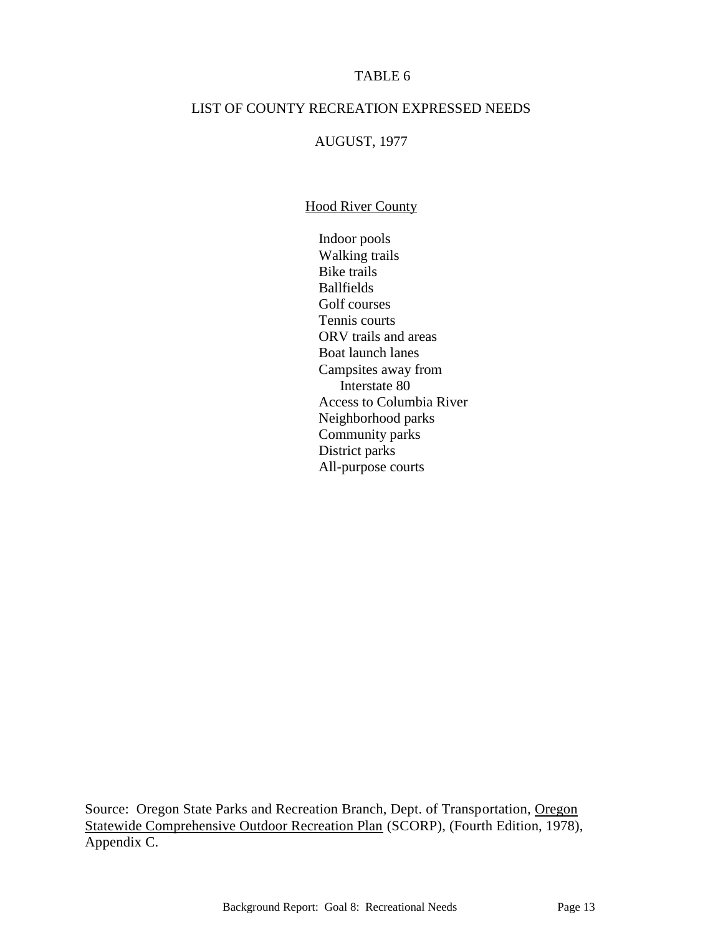### TABLE 6

#### LIST OF COUNTY RECREATION EXPRESSED NEEDS

#### AUGUST, 1977

#### **Hood River County**

Indoor pools Walking trails Bike trails Ballfields Golf courses Tennis courts ORV trails and areas Boat launch lanes Campsites away from Interstate 80 Access to Columbia River Neighborhood parks Community parks District parks All-purpose courts

Source: Oregon State Parks and Recreation Branch, Dept. of Transportation, Oregon Statewide Comprehensive Outdoor Recreation Plan (SCORP), (Fourth Edition, 1978), Appendix C.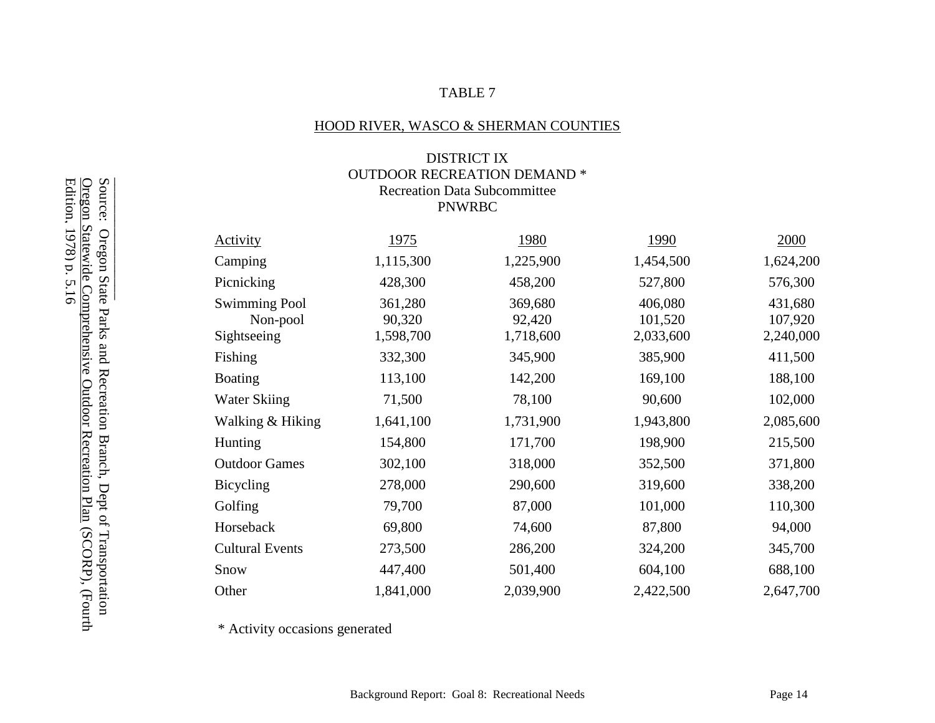# TABLE 7

## HOOD RIVER, WASCO & SHERMAN COUNTIES

## DISTRICT IX OUTDOOR RECREATION DEMAND \* Recreation Data Subcommittee PNWRBC

| <b>Activity</b>                                 | 1975                           | 1980                           | 1990                            | 2000                            |
|-------------------------------------------------|--------------------------------|--------------------------------|---------------------------------|---------------------------------|
| Camping                                         | 1,115,300                      | 1,225,900                      | 1,454,500                       | 1,624,200                       |
| Picnicking                                      | 428,300                        | 458,200                        | 527,800                         | 576,300                         |
| <b>Swimming Pool</b><br>Non-pool<br>Sightseeing | 361,280<br>90,320<br>1,598,700 | 369,680<br>92,420<br>1,718,600 | 406,080<br>101,520<br>2,033,600 | 431,680<br>107,920<br>2,240,000 |
| Fishing                                         | 332,300                        | 345,900                        | 385,900                         | 411,500                         |
| <b>Boating</b>                                  | 113,100                        | 142,200                        | 169,100                         | 188,100                         |
| Water Skiing                                    | 71,500                         | 78,100                         | 90,600                          | 102,000                         |
| Walking & Hiking                                | 1,641,100                      | 1,731,900                      | 1,943,800                       | 2,085,600                       |
| Hunting                                         | 154,800                        | 171,700                        | 198,900                         | 215,500                         |
| <b>Outdoor Games</b>                            | 302,100                        | 318,000                        | 352,500                         | 371,800                         |
| Bicycling                                       | 278,000                        | 290,600                        | 319,600                         | 338,200                         |
| Golfing                                         | 79,700                         | 87,000                         | 101,000                         | 110,300                         |
| Horseback                                       | 69,800                         | 74,600                         | 87,800                          | 94,000                          |
| <b>Cultural Events</b>                          | 273,500                        | 286,200                        | 324,200                         | 345,700                         |
| Snow                                            | 447,400                        | 501,400                        | 604,100                         | 688,100                         |
| Other                                           | 1,841,000                      | 2,039,900                      | 2,422,500                       | 2,647,700                       |

\* Activity occasions generated

Source: Oregon State Parks and Recreation Branch, Dept of Transportation<br><u>Oregon Statewide Comprehensive Outdoor Recreation Plan</u> (SCORP), (Fourth<br>Edition, 1978) p. 5.16 Source: Oregon State Parks and Recreation Branch, Dept of Transportation<br>Source: Oregon State Parks and Recreation Branch, Dept of Transportation<br><u>Oregon Statewide Comprehensive Outdoor Recreation Plan</u> (SCORP), (Fourth Edition, 1978) p. 5.16Oregon Statewide Comprehensive Outdoor Recreation Plan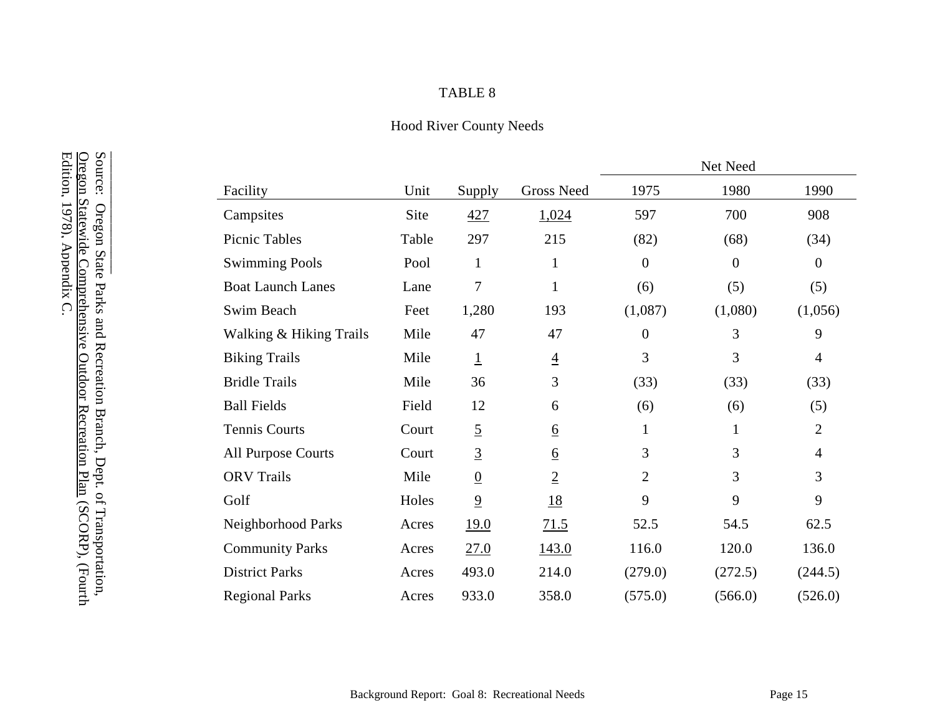# TABLE 8

# Hood River County Needs

|                           |       |                 |                 |                  | Net Need       |                |
|---------------------------|-------|-----------------|-----------------|------------------|----------------|----------------|
| Facility                  | Unit  | Supply          | Gross Need      | 1975             | 1980           | 1990           |
| Campsites                 | Site  | 427             | 1,024           | 597              | 700            | 908            |
| Picnic Tables             | Table | 297             | 215             | (82)             | (68)           | (34)           |
| <b>Swimming Pools</b>     | Pool  | $\mathbf{1}$    | $\mathbf{1}$    | $\boldsymbol{0}$ | $\overline{0}$ | $\theta$       |
| <b>Boat Launch Lanes</b>  | Lane  | 7               | $\mathbf{1}$    | (6)              | (5)            | (5)            |
| Swim Beach                | Feet  | 1,280           | 193             | (1,087)          | (1,080)        | (1,056)        |
| Walking & Hiking Trails   | Mile  | 47              | 47              | $\boldsymbol{0}$ | 3              | 9              |
| <b>Biking Trails</b>      | Mile  | $\overline{1}$  | $\overline{4}$  | 3                | 3              | $\overline{4}$ |
| <b>Bridle Trails</b>      | Mile  | 36              | 3               | (33)             | (33)           | (33)           |
| <b>Ball Fields</b>        | Field | 12              | 6               | (6)              | (6)            | (5)            |
| <b>Tennis Courts</b>      | Court | $\overline{5}$  | $\underline{6}$ | $\mathbf{1}$     | 1              | $\overline{2}$ |
| <b>All Purpose Courts</b> | Court | $\overline{3}$  | $\underline{6}$ | 3                | 3              | $\overline{4}$ |
| <b>ORV</b> Trails         | Mile  | $\underline{0}$ | $\overline{2}$  | $\overline{2}$   | $\overline{3}$ | 3              |
| Golf                      | Holes | $\overline{9}$  | <u>18</u>       | 9                | 9              | 9              |
| Neighborhood Parks        | Acres | 19.0            | 71.5            | 52.5             | 54.5           | 62.5           |
| <b>Community Parks</b>    | Acres | 27.0            | 143.0           | 116.0            | 120.0          | 136.0          |
| <b>District Parks</b>     | Acres | 493.0           | 214.0           | (279.0)          | (272.5)        | (244.5)        |
| <b>Regional Parks</b>     | Acres | 933.0           | 358.0           | (575.0)          | (566.0)        | (526.0)        |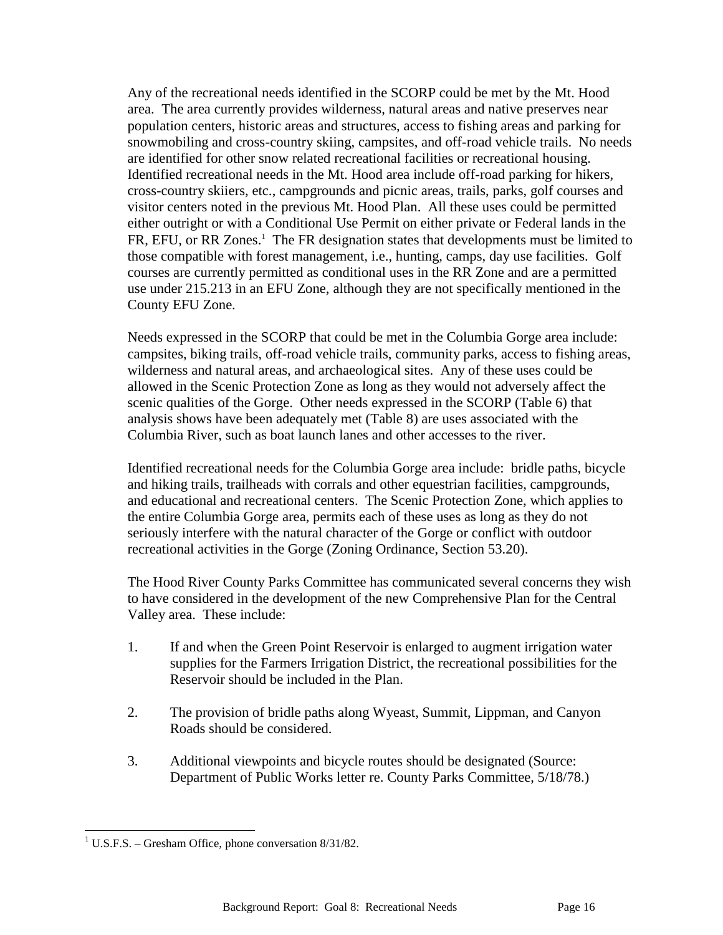Any of the recreational needs identified in the SCORP could be met by the Mt. Hood area. The area currently provides wilderness, natural areas and native preserves near population centers, historic areas and structures, access to fishing areas and parking for snowmobiling and cross-country skiing, campsites, and off-road vehicle trails. No needs are identified for other snow related recreational facilities or recreational housing. Identified recreational needs in the Mt. Hood area include off-road parking for hikers, cross-country skiiers, etc., campgrounds and picnic areas, trails, parks, golf courses and visitor centers noted in the previous Mt. Hood Plan. All these uses could be permitted either outright or with a Conditional Use Permit on either private or Federal lands in the FR, EFU, or RR Zones.<sup>1</sup> The FR designation states that developments must be limited to those compatible with forest management, i.e., hunting, camps, day use facilities. Golf courses are currently permitted as conditional uses in the RR Zone and are a permitted use under 215.213 in an EFU Zone, although they are not specifically mentioned in the County EFU Zone.

Needs expressed in the SCORP that could be met in the Columbia Gorge area include: campsites, biking trails, off-road vehicle trails, community parks, access to fishing areas, wilderness and natural areas, and archaeological sites. Any of these uses could be allowed in the Scenic Protection Zone as long as they would not adversely affect the scenic qualities of the Gorge. Other needs expressed in the SCORP (Table 6) that analysis shows have been adequately met (Table 8) are uses associated with the Columbia River, such as boat launch lanes and other accesses to the river.

Identified recreational needs for the Columbia Gorge area include: bridle paths, bicycle and hiking trails, trailheads with corrals and other equestrian facilities, campgrounds, and educational and recreational centers. The Scenic Protection Zone, which applies to the entire Columbia Gorge area, permits each of these uses as long as they do not seriously interfere with the natural character of the Gorge or conflict with outdoor recreational activities in the Gorge (Zoning Ordinance, Section 53.20).

The Hood River County Parks Committee has communicated several concerns they wish to have considered in the development of the new Comprehensive Plan for the Central Valley area. These include:

- 1. If and when the Green Point Reservoir is enlarged to augment irrigation water supplies for the Farmers Irrigation District, the recreational possibilities for the Reservoir should be included in the Plan.
- 2. The provision of bridle paths along Wyeast, Summit, Lippman, and Canyon Roads should be considered.
- 3. Additional viewpoints and bicycle routes should be designated (Source: Department of Public Works letter re. County Parks Committee, 5/18/78.)

l <sup>1</sup> U.S.F.S. – Gresham Office, phone conversation  $8/31/82$ .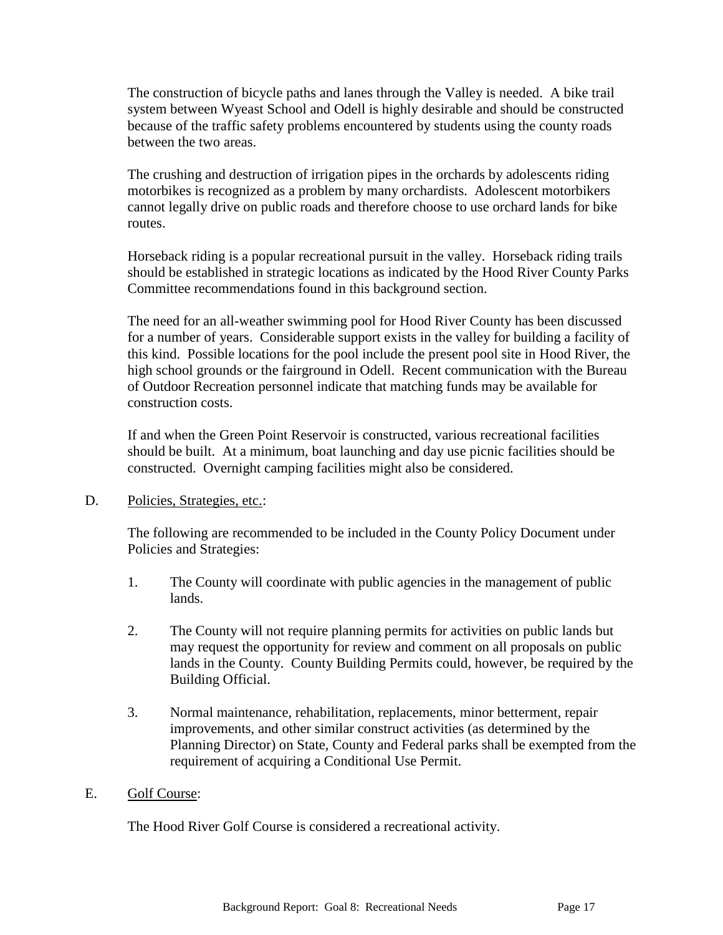The construction of bicycle paths and lanes through the Valley is needed. A bike trail system between Wyeast School and Odell is highly desirable and should be constructed because of the traffic safety problems encountered by students using the county roads between the two areas.

The crushing and destruction of irrigation pipes in the orchards by adolescents riding motorbikes is recognized as a problem by many orchardists. Adolescent motorbikers cannot legally drive on public roads and therefore choose to use orchard lands for bike routes.

Horseback riding is a popular recreational pursuit in the valley. Horseback riding trails should be established in strategic locations as indicated by the Hood River County Parks Committee recommendations found in this background section.

The need for an all-weather swimming pool for Hood River County has been discussed for a number of years. Considerable support exists in the valley for building a facility of this kind. Possible locations for the pool include the present pool site in Hood River, the high school grounds or the fairground in Odell. Recent communication with the Bureau of Outdoor Recreation personnel indicate that matching funds may be available for construction costs.

If and when the Green Point Reservoir is constructed, various recreational facilities should be built. At a minimum, boat launching and day use picnic facilities should be constructed. Overnight camping facilities might also be considered.

D. Policies, Strategies, etc.:

The following are recommended to be included in the County Policy Document under Policies and Strategies:

- 1. The County will coordinate with public agencies in the management of public lands.
- 2. The County will not require planning permits for activities on public lands but may request the opportunity for review and comment on all proposals on public lands in the County. County Building Permits could, however, be required by the Building Official.
- 3. Normal maintenance, rehabilitation, replacements, minor betterment, repair improvements, and other similar construct activities (as determined by the Planning Director) on State, County and Federal parks shall be exempted from the requirement of acquiring a Conditional Use Permit.

#### E. Golf Course:

The Hood River Golf Course is considered a recreational activity.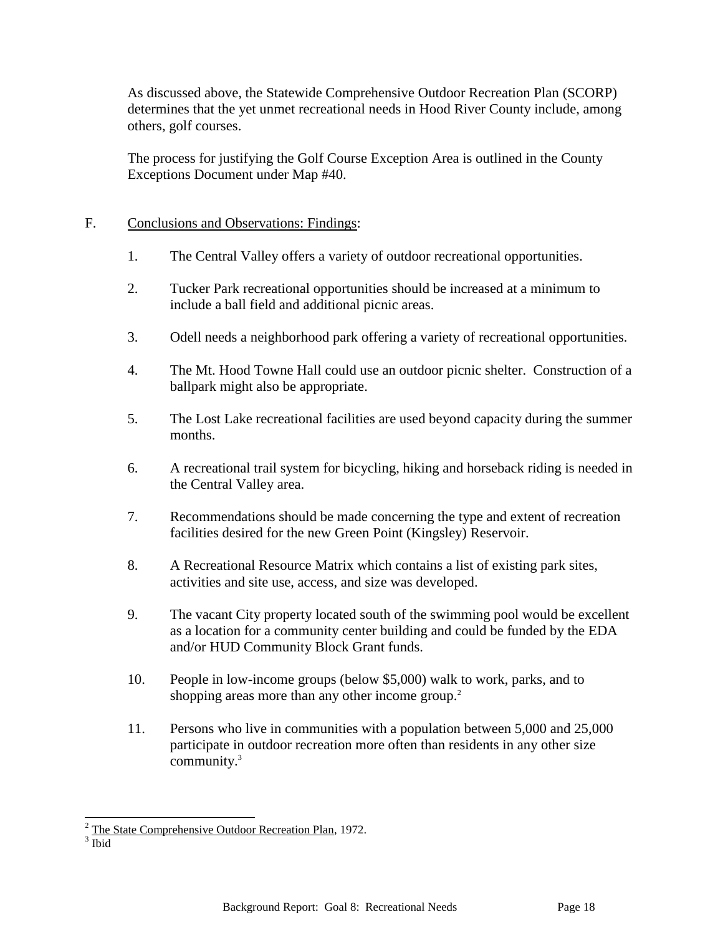As discussed above, the Statewide Comprehensive Outdoor Recreation Plan (SCORP) determines that the yet unmet recreational needs in Hood River County include, among others, golf courses.

The process for justifying the Golf Course Exception Area is outlined in the County Exceptions Document under Map #40.

## F. Conclusions and Observations: Findings:

- 1. The Central Valley offers a variety of outdoor recreational opportunities.
- 2. Tucker Park recreational opportunities should be increased at a minimum to include a ball field and additional picnic areas.
- 3. Odell needs a neighborhood park offering a variety of recreational opportunities.
- 4. The Mt. Hood Towne Hall could use an outdoor picnic shelter. Construction of a ballpark might also be appropriate.
- 5. The Lost Lake recreational facilities are used beyond capacity during the summer months.
- 6. A recreational trail system for bicycling, hiking and horseback riding is needed in the Central Valley area.
- 7. Recommendations should be made concerning the type and extent of recreation facilities desired for the new Green Point (Kingsley) Reservoir.
- 8. A Recreational Resource Matrix which contains a list of existing park sites, activities and site use, access, and size was developed.
- 9. The vacant City property located south of the swimming pool would be excellent as a location for a community center building and could be funded by the EDA and/or HUD Community Block Grant funds.
- 10. People in low-income groups (below \$5,000) walk to work, parks, and to shopping areas more than any other income group.<sup>2</sup>
- 11. Persons who live in communities with a population between 5,000 and 25,000 participate in outdoor recreation more often than residents in any other size community.<sup>3</sup>

 $\overline{a}$  $2$  The State Comprehensive Outdoor Recreation Plan, 1972.

<sup>3</sup> Ibid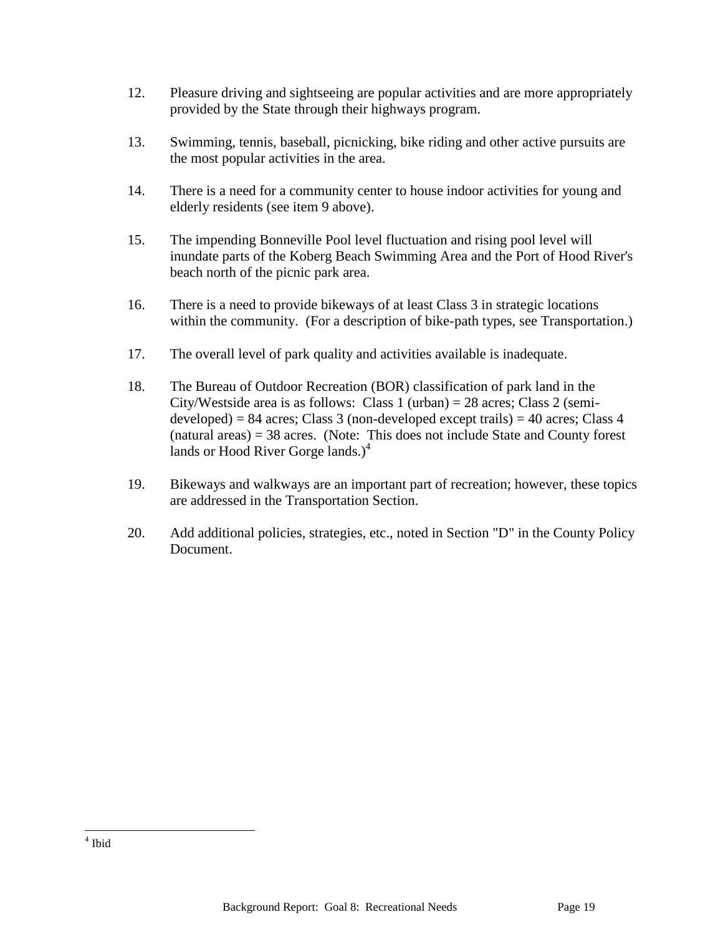- 12. Pleasure driving and sightseeing are popular activities and are more appropriately provided by the State through their highways program.
- 13. Swimming, tennis, baseball, picnicking, bike riding and other active pursuits are the most popular activities in the area.
- 14. There is a need for a community center to house indoor activities for young and elderly residents (see item 9 above).
- 15. The impending Bonneville Pool level fluctuation and rising pool level will inundate parts of the Koberg Beach Swimming Area and the Port of Hood River's beach north of the picnic park area.
- 16. There is a need to provide bikeways of at least Class 3 in strategic locations within the community. (For a description of bike-path types, see Transportation.)
- 17. The overall level of park quality and activities available is inadequate.
- 18. The Bureau of Outdoor Recreation (BOR) classification of park land in the City/Westside area is as follows: Class 1 (urban) = 28 acres; Class 2 (semideveloped) = 84 acres; Class 3 (non-developed except trails) = 40 acres; Class 4 (natural areas) = 38 acres. (Note: This does not include State and County forest lands or Hood River Gorge lands.) $4$
- 19. Bikeways and walkways are an important part of recreation; however, these topics are addressed in the Transportation Section.
- 20. Add additional policies, strategies, etc., noted in Section "D" in the County Policy Document.

 4 Ibid